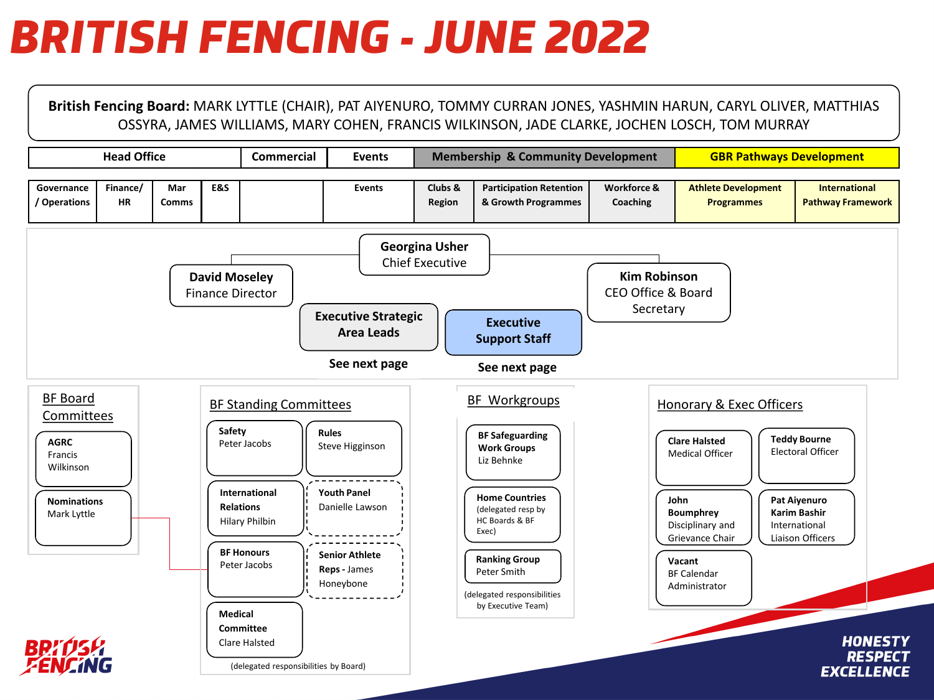## *BRITISH FENCING – JUNE 2022*

**British Fencing Board:** MARK LYTTLE (CHAIR), PAT AIYENURO, TOMMY CURRAN JONES, YASHMIN HARUN, CARYL OLIVER, MATTHIAS OSSYRA, JAMES WILLIAMS, MARY COHEN, FRANCIS WILKINSON, JADE CLARKE, JOCHEN LOSCH, TOM MURRAY